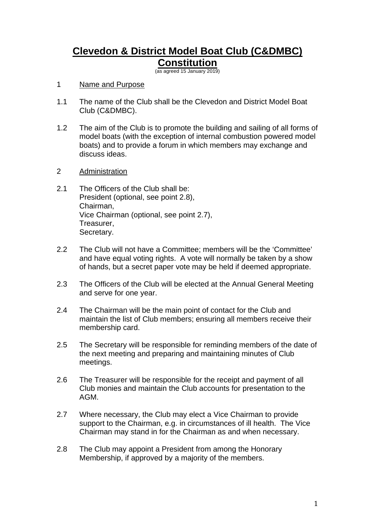# **Clevedon & District Model Boat Club (C&DMBC) Constitution**

(as agreed 15 January 2019)

## 1 Name and Purpose

- 1.1 The name of the Club shall be the Clevedon and District Model Boat Club (C&DMBC).
- 1.2 The aim of the Club is to promote the building and sailing of all forms of model boats (with the exception of internal combustion powered model boats) and to provide a forum in which members may exchange and discuss ideas.
- 2 Administration
- 2.1 The Officers of the Club shall be: President (optional, see point 2.8), Chairman, Vice Chairman (optional, see point 2.7), Treasurer, Secretary.
- 2.2 The Club will not have a Committee; members will be the 'Committee' and have equal voting rights. A vote will normally be taken by a show of hands, but a secret paper vote may be held if deemed appropriate.
- 2.3 The Officers of the Club will be elected at the Annual General Meeting and serve for one year.
- 2.4 The Chairman will be the main point of contact for the Club and maintain the list of Club members; ensuring all members receive their membership card.
- 2.5 The Secretary will be responsible for reminding members of the date of the next meeting and preparing and maintaining minutes of Club meetings.
- 2.6 The Treasurer will be responsible for the receipt and payment of all Club monies and maintain the Club accounts for presentation to the AGM.
- 2.7 Where necessary, the Club may elect a Vice Chairman to provide support to the Chairman, e.g. in circumstances of ill health. The Vice Chairman may stand in for the Chairman as and when necessary.
- 2.8 The Club may appoint a President from among the Honorary Membership, if approved by a majority of the members.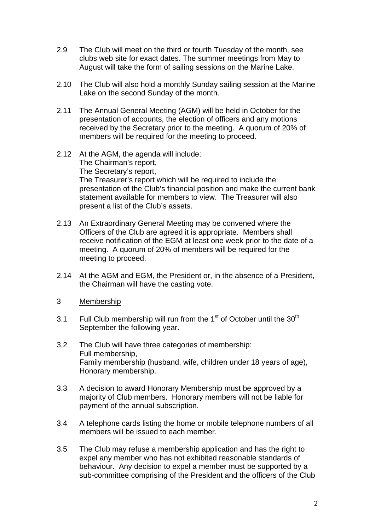- 2.9 The Club will meet on the third or fourth Tuesday of the month, see clubs web site for exact dates. The summer meetings from May to August will take the form of sailing sessions on the Marine Lake.
- 2.10 The Club will also hold a monthly Sunday sailing session at the Marine Lake on the second Sunday of the month.
- 2.11 The Annual General Meeting (AGM) will be held in October for the presentation of accounts, the election of officers and any motions received by the Secretary prior to the meeting. A quorum of 20% of members will be required for the meeting to proceed.
- 2.12 At the AGM, the agenda will include: The Chairman's report, The Secretary's report, The Treasurer's report which will be required to include the presentation of the Club's financial position and make the current bank statement available for members to view. The Treasurer will also present a list of the Club's assets.
- 2.13 An Extraordinary General Meeting may be convened where the Officers of the Club are agreed it is appropriate. Members shall receive notification of the EGM at least one week prior to the date of a meeting. A quorum of 20% of members will be required for the meeting to proceed.
- 2.14 At the AGM and EGM, the President or, in the absence of a President, the Chairman will have the casting vote.
- 3 Membership
- 3.1 Full Club membership will run from the  $1<sup>st</sup>$  of October until the  $30<sup>th</sup>$ September the following year.
- 3.2 The Club will have three categories of membership: Full membership, Family membership (husband, wife, children under 18 years of age), Honorary membership.
- 3.3 A decision to award Honorary Membership must be approved by a majority of Club members. Honorary members will not be liable for payment of the annual subscription.
- 3.4 A telephone cards listing the home or mobile telephone numbers of all members will be issued to each member.
- 3.5 The Club may refuse a membership application and has the right to expel any member who has not exhibited reasonable standards of behaviour. Any decision to expel a member must be supported by a sub-committee comprising of the President and the officers of the Club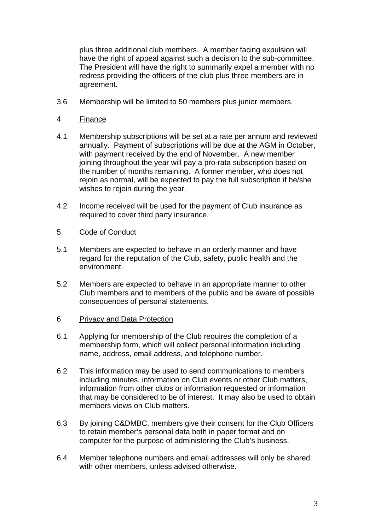plus three additional club members. A member facing expulsion will have the right of appeal against such a decision to the sub-committee. The President will have the right to summarily expel a member with no redress providing the officers of the club plus three members are in agreement.

- 3.6 Membership will be limited to 50 members plus junior members.
- 4 Finance
- 4.1 Membership subscriptions will be set at a rate per annum and reviewed annually. Payment of subscriptions will be due at the AGM in October, with payment received by the end of November. A new member joining throughout the year will pay a pro-rata subscription based on the number of months remaining. A former member, who does not rejoin as normal, will be expected to pay the full subscription if he/she wishes to rejoin during the year.
- 4.2 Income received will be used for the payment of Club insurance as required to cover third party insurance.
- 5 Code of Conduct
- 5.1 Members are expected to behave in an orderly manner and have regard for the reputation of the Club, safety, public health and the environment.
- 5.2 Members are expected to behave in an appropriate manner to other Club members and to members of the public and be aware of possible consequences of personal statements.
- 6 Privacy and Data Protection
- 6.1 Applying for membership of the Club requires the completion of a membership form, which will collect personal information including name, address, email address, and telephone number.
- 6.2 This information may be used to send communications to members including minutes, information on Club events or other Club matters, information from other clubs or information requested or information that may be considered to be of interest. It may also be used to obtain members views on Club matters.
- 6.3 By joining C&DMBC, members give their consent for the Club Officers to retain member's personal data both in paper format and on computer for the purpose of administering the Club's business.
- 6.4 Member telephone numbers and email addresses will only be shared with other members, unless advised otherwise.